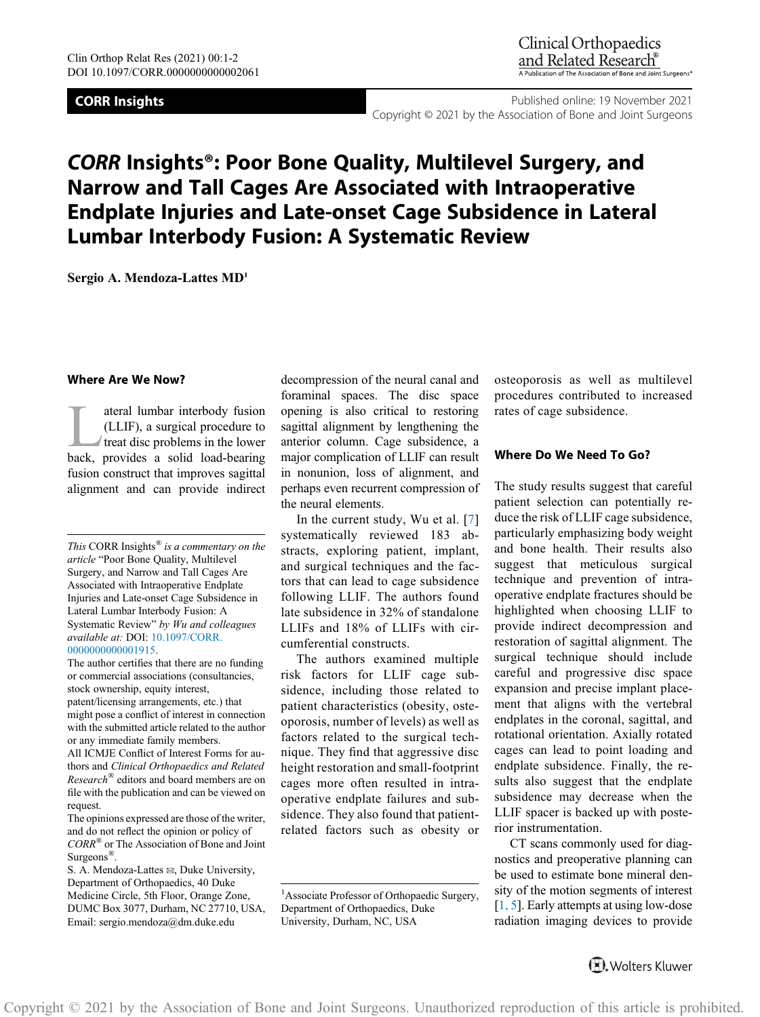**CORR Insights CORR Insights CORR Insights Published online: 19 November 2021** Copyright © 2021 by the Association of Bone and Joint Surgeons

# CORR Insights®: Poor Bone Quality, Multilevel Surgery, and Narrow and Tall Cages Are Associated with Intraoperative Endplate Injuries and Late-onset Cage Subsidence in Lateral Lumbar Interbody Fusion: A Systematic Review

Sergio A. Mendoza-Lattes MD1

#### Where Are We Now?

ateral lumbar interbody fusion<br>(LLIF), a surgical procedure to<br>treat disc problems in the lower<br>back provides a solid load-bearing (LLIF), a surgical procedure to treat disc problems in the lower back, provides a solid load-bearing fusion construct that improves sagittal alignment and can provide indirect

The author certifies that there are no funding or commercial associations (consultancies, stock ownership, equity interest, patent/licensing arrangements, etc.) that might pose a conflict of interest in connection with the submitted article related to the author or any immediate family members. All ICMJE Conflict of Interest Forms for authors and Clinical Orthopaedics and Related Research<sup>®</sup> editors and board members are on file with the publication and can be viewed on request.

The opinions expressed are those of the writer, and do not reflect the opinion or policy of CORR® or The Association of Bone and Joint Surgeons<sup>®</sup>.

S. A. Mendoza-Lattes  $\boxtimes$ , Duke University, Department of Orthopaedics, 40 Duke Medicine Circle, 5th Floor, Orange Zone, DUMC Box 3077, Durham, NC 27710, USA, Email: [sergio.mendoza@dm.duke.edu](mailto:sergio.mendoza@dm.duke.edu)

decompression of the neural canal and foraminal spaces. The disc space opening is also critical to restoring sagittal alignment by lengthening the anterior column. Cage subsidence, a major complication of LLIF can result in nonunion, loss of alignment, and perhaps even recurrent compression of the neural elements.

In the current study, Wu et al. [7] systematically reviewed 183 abstracts, exploring patient, implant, and surgical techniques and the factors that can lead to cage subsidence following LLIF. The authors found late subsidence in 32% of standalone LLIFs and 18% of LLIFs with circumferential constructs.

The authors examined multiple risk factors for LLIF cage subsidence, including those related to patient characteristics (obesity, osteoporosis, number of levels) as well as factors related to the surgical technique. They find that aggressive disc height restoration and small-footprint cages more often resulted in intraoperative endplate failures and subsidence. They also found that patientrelated factors such as obesity or

osteoporosis as well as multilevel procedures contributed to increased rates of cage subsidence.

# Where Do We Need To Go?

The study results suggest that careful patient selection can potentially reduce the risk of LLIF cage subsidence, particularly emphasizing body weight and bone health. Their results also suggest that meticulous surgical technique and prevention of intraoperative endplate fractures should be highlighted when choosing LLIF to provide indirect decompression and restoration of sagittal alignment. The surgical technique should include careful and progressive disc space expansion and precise implant placement that aligns with the vertebral endplates in the coronal, sagittal, and rotational orientation. Axially rotated cages can lead to point loading and endplate subsidence. Finally, the results also suggest that the endplate subsidence may decrease when the LLIF spacer is backed up with posterior instrumentation.

CT scans commonly used for diagnostics and preoperative planning can be used to estimate bone mineral density of the motion segments of interest [1, 5]. Early attempts at using low-dose radiation imaging devices to provide

This CORR Insights $^{\circledR}$  is a commentary on the article "Poor Bone Quality, Multilevel Surgery, and Narrow and Tall Cages Are Associated with Intraoperative Endplate Injuries and Late-onset Cage Subsidence in Lateral Lumbar Interbody Fusion: A Systematic Review" by Wu and colleagues available at: DOI: [10.1097/CORR.](http://10.1097/CORR.0000000000001915) [0000000000001915.](http://10.1097/CORR.0000000000001915)

<sup>&</sup>lt;sup>1</sup> Associate Professor of Orthopaedic Surgery, Department of Orthopaedics, Duke University, Durham, NC, USA